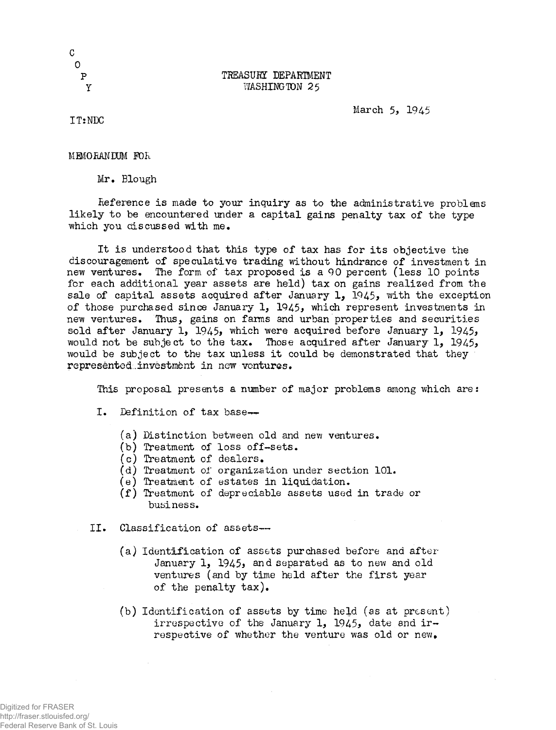P TREASURY DEPARTMENT Y WASHINGTON 25

March 5, 1945

IT:NDC

MEMO BANDUM FOR

Mr. Blough

Reference is made to your inquiry as to the administrative problems likely to be encountered under a capital gains penalty tax of the type •which you ciiscussed with me.

It is understood that this type of tax has for its objective the discouragement of speculative trading without hindrance of investment in new ventures. The form of tax proposed is a 90 percent (less 10 points for each additional year assets are held) tax on gains realized from the sale of capital assets acquired after January  $1, 1945$ , with the exception of those purchased since January 1, 1945, which represent investments in new ventures. Thus, gains on farms and urban properties and securities sold after January 1, 1945, which were acquired before January 1, 1945, would not be subject to the tax. Those acquired after January 1,  $1945$ , would be subject to the tax unless it could be demonstrated that they representod.,investment in now ventures.

This proposal presents a number of major problems among which are:

I. Definition of tax base-~

- $(a)$  Distinction between old and new ventures.
- (b) Treatment of loss off-sets.
- (c) Treatment of dealers.
- (d) Treatment of organization under section 101.
- (e) Treatment of estates in liquidation.
- (f) Treatment of depreciable assets used in trade or business.
- II. Classification of assets—
	- (a) Identification of assets purchased before and after January 1, 1945, and separated as to new and old ventures (and by time held after the first year of the penalty tax).
	- (b) Identification of assets by time held (as at present) irrespective of the January 1, 1945, date and irrespective of whether the venture was old or new.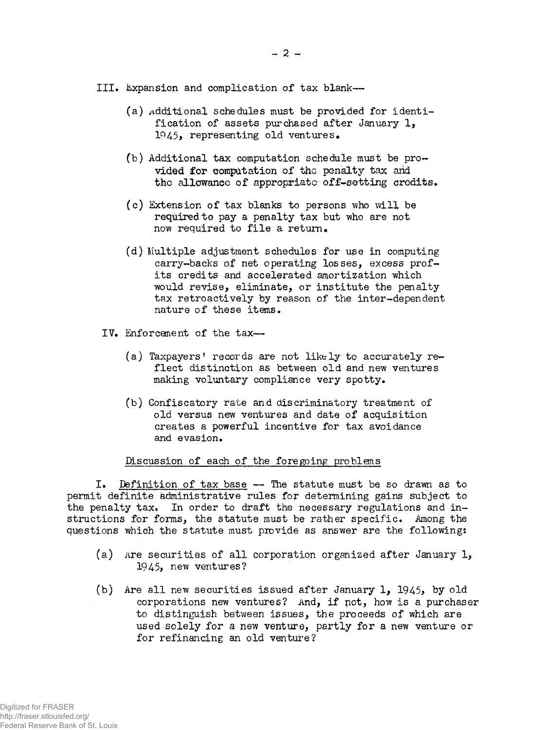III. Expansion and complication of tax blank—

- (a) additional schedules must be provided for identification of assets purchased after January 1, 1945, representing old ventures.
- (b) Additional tax computation schedule must be pro $$ vided for computation of the penalty tax arid the allowance of appropriate off-setting credits.
- (c) Extension of tax blanks to persons who will be required to pay a penalty tax but who are not now required to file a return.
- (d) Multiple adjustment schedules for use in computing carry-backs of net operating losses, excess profits credits and accelerated amortization which would revise, eliminate, or institute the penalty tax retroactively by reason of the inter-dependent nature of these items.
- IV» Enforcement of the tax—>
	- (a) Taxpayers' records are not likely to accurately reflect distinction as between old and new ventures making voluntary compliance very spotty.
	- (b) Confiscatory rate and discriminatory treatment of old versus new ventures and date of acquisition creates a powerful incentive for tax avoidance and evasion.

# Discussion of each of the foregoing problems

I. Definition of tax base — The statute must be so drawn as to permit definite administrative rules for determining gains subject to the penalty tax. In order to draft the necessary regulations and instructions for forms, the statute must be rather specific. Among the questions which the statute must provide as answer are the following:

- (a) Are securities of all corporation organized after January 1, 1945, new ventures?
- (b) Are all new securities issued after January 1, 1945, by old corporations new ventures? And, if pot, how is a purchaser to distinguish between issues, the proceeds of which are used solely for a new venture, partly for a new venture or for refinancing an old venture?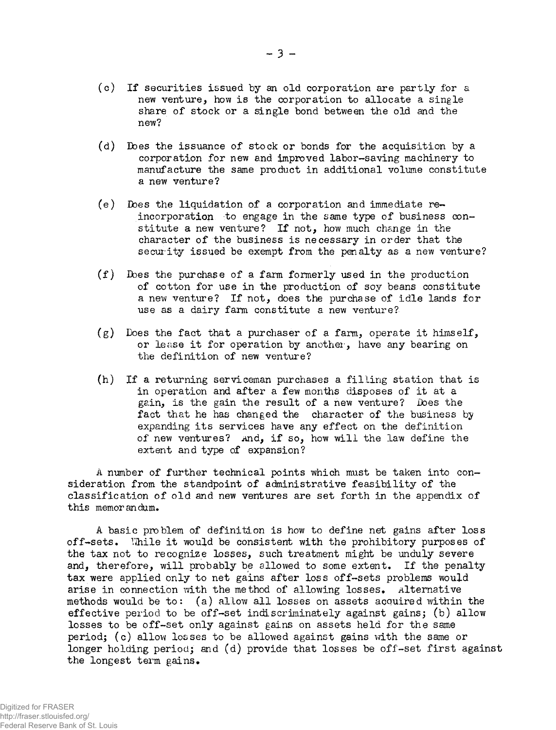- (o) If securities issued by an old corporation are partly for a new venture, how is the corporation to allocate a single share of stock or a single bond between the old and the new?
- (d) Does the issuance of stock or bonds for the acquisition by a corporation for new and improved labor-saving machinery to manufacture the same product in additional volume constitute a new venture?
- (e) Does the liquidation of a corporation and immediate reincorporation to engage in the same type of business constitute a new venture? If not, how much change in the character of the business is necessary in order that the secur ity issued be exempt from the penalty as a new venture?
- (f) Does the purchase of a farm formerly used in the production of cotton for use in the production of soy beans constitute a new venture? If not, does the purchase of idle lands for use as a dairy farm constitute a new venture?
- $(g)$  Does the fact that a purchaser of a farm, operate it himself, or lease it for operation by another, have any bearing on the definition of new venture?
- (h) If a returning serviceman purchases a filling station that is in operation and after a few months disposes of it at a gain, is the gain the result of a new venture? Does the fact that he has changed the character of the business by expanding its services have any effect on the definition of new ventures? .and, if so, how will the law define the extent and type of expansion?

A number of further technical points which must be taken into consideration from the standpoint of administrative feasibility of the classification of old and new ventures are set forth in the appendix of this memorandum.

A basic problem of definition is how to define net gains after loss off-sets. While it would be consistent with the prohibitory purposes of the tax not to recognize losses, such treatment might be unduly severe and, therefore, will probably be allowed to some extent. If the penalty tax were applied only to net gains after loss off-sets problems would arise in connection with the method of allowing losses. Alternative methods would be to: (a) allow all losses on assets acquired within the effective period to be off-set indiscriminately against gains; (b) allow losses to be off-set only against gains on assets held for the same period; (c) allow losses to be allowed against gains with the same or longer holding period; and (d) provide that losses be off-set first against the longest term gains.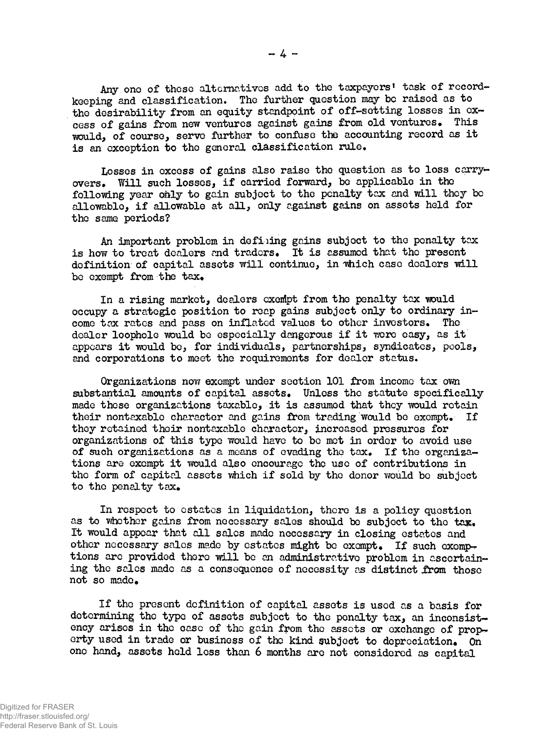Any one of these alternatives add to the taxpayers' task of recordkeeping and classification. The further question may be raised as to the desirability from an equity standpoint of off-setting losses in excess of gains from new ventures against gains from old ventures. This would, of course, serve farther to confase the accounting record as it is an exception to the general classification rule.

Losses in excess of gains also raise the question as to loss carryovers. Will such losses, if carried forward, be applicable in the following year only to gain subject to the penalty tax and will they be allowable, if allowable at all, only against gains on assets held for the same periods?

An important problem in defiling gains subject to the penalty tax is how to treat dealers and traders. It is assumed that the present definition of capital assets will continue, in which case dealers will be exempt from the tax.

In a rising market, dealers exempt from the penalty tax would occupy a strategic position to reap gains subject only to ordinary income tax rates and pass on inflated values to other investors. The dealer loophole would be especially dangerous if it were easy, as it appears it would be, for individuals, partnerships, syndicates, pools, and corporations to meet the requirements for dealer status.

Organizations now exempt under section 101 from income tax own substantial amounts of capital assets. Unless the statute specifically made these organizations taxable, it is assumed that they would retain their nontaxable character and gains from trading would be exempt. If they retained their nontaxable character, increased pressures for organizations of this type would have to be mot in order to avoid use of such organizations as a means of evading the tax. If the organizations are exempt it would also encourage the use of contributions in the form of capital assets which if sold by the donor would bo subject to the penalty tax.

In respect to estates in liquidation, there is a policy question as to whether gains from necessary sales should be subject to the  $\text{tax}_\bullet$ It would appear that all sales made necessary in closing estates and other necessary sales made by estates might be exempt. If such exemptions are provided there will be an administrative problem in ascertaining the sales made as a consequence of necessity as distinct from those not so made.

If the present definition of capital assets is used as a basis for determining the type of assets subject to the penalty tax, an inconsistency arises in the case of the gain from the assets or exchange of property used in trade or business of the kind subject to depreciation. On one hand, assets held less than 6 months are not considered as capital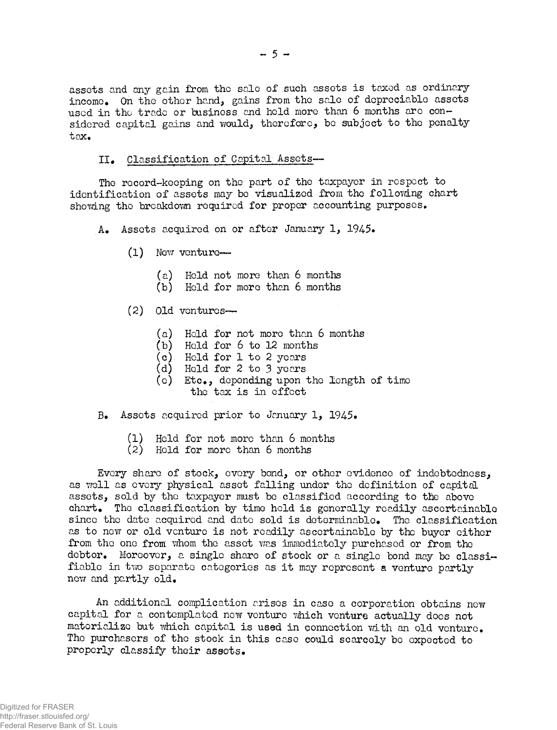assets and any gain from the sale of such assets is taxed as ordinary income. On the other hand, gains from the sale of depreciable assets used in the trade or business and held more than 6 months arc considered capital gains and would, therefore, be subject to the penalty tax.

# II. Classification of Capital Assets-

The record-keeping on the part of the taxpayer in respect to identification of assets may bo visualized from the following chart showing the breakdown required for proper accounting purposes.

A. Assets acquired on or after January 1, 1945.

- $(1)$  New venture—
	- (a) Hold not more than 6 months
	- (b) Held for more than 6 months
- (2) Old ventures—
	- (a) Held for not more than 6 months
	- (b) Held for 6 to 12 months
	- (c) Held for 1 to 2 years
	- (d) Held for 2 to 3 years
	- (c) Etc., depending upon the length of time the tax is in effect
- B. Assets acquired prior to January 1, 1945.
	- (1) Held for not more than 6 months
	- (2) Held for more than 6 months

Every share of stock, every bond, or other evidence of indebtedness, as well as every physical asset falling under the definition of capital assets, sold by the taxpayer must be classified according to the above chart. The classification by time held is generally readily ascertainable since the date acquired and date sold is determinable. The classification as to now or old venture is not readily ascertainable by the buyer either from the one from whom the asset was immediately purchased or from the debtor. Moreover, a single share of stock or a single bond may be classifiable in two separate categories as it may represent a venture partly new and partly old.

An additional complication arises in case a corporation obtains new capital for a contemplated new venture which venture actually docs not materialize but which capital is used in connection with an old venture. The purchasers of the stock in this case could scarcely be expected to properly classify their assets.

Federal Reserve Bank of St. Louis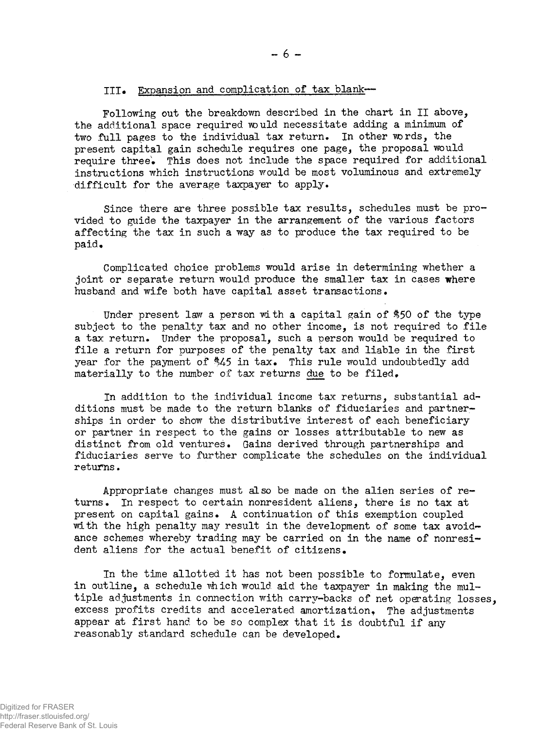# III. Expansion and complication of tax blank--

Following out the breakdown described in the chart in II above, the additional space required would necessitate adding a minimum of two full pages to the individual tax return. In other words, the present capital gain schedule requires one page, the proposal would require three» This does not include the space required for additional instructions which instructions would be most voluminous and extremely difficult for the average taxpayer to apply.

Since there are three possible tax results, schedules must be provided to guide the taxpayer in the arrangement of the various factors affecting the tax in such a way as to produce the tax required to be paid.

Complicated choice problems would arise in determining whether a joint or separate return would produce the smaller tax in cases where husband and wife both have capital asset transactions.

Under present law a person with a capital gain of \$50 of the type subject to the penalty tax and no other income, is not required to file a tax return. Under the proposal, such a person would be required to file a return for purposes of the penalty tax and liable in the first year for the payment of  $\frac{4}{5}$  in tax. This rule would undoubtedly add materially to the number of tax returns due to be filed.

In addition to the individual income tax returns, substantial additions must be made to the return blanks of fiduciaries and partnerships in order to show the distributive interest of each beneficiary or partner in respect to the gains or losses attributable to new as distinct from old ventures. Gains derived through partnerships and fiduciaries serve to further complicate the schedules on the individual returns.

Appropriate changes must also be made on the alien series of returns. In respect to certain nonresident aliens, there is no tax at present on capital gains. A continuation of this exemption coupled with the high penalty may result in the development of some tax avoidance schemes whereby trading may be carried on in the name of nonresident aliens for the actual benefit of citizens.

In the time allotted it has not been possible to formulate, even in outline, a schedule which would aid the taxpayer in making the multiple adjustments in connection with carry-backs of net operating losses, excess profits credits and accelerated amortization. The adjustments appear at first hand to be so complex that it is doubtful if any reasonably standard schedule can be developed.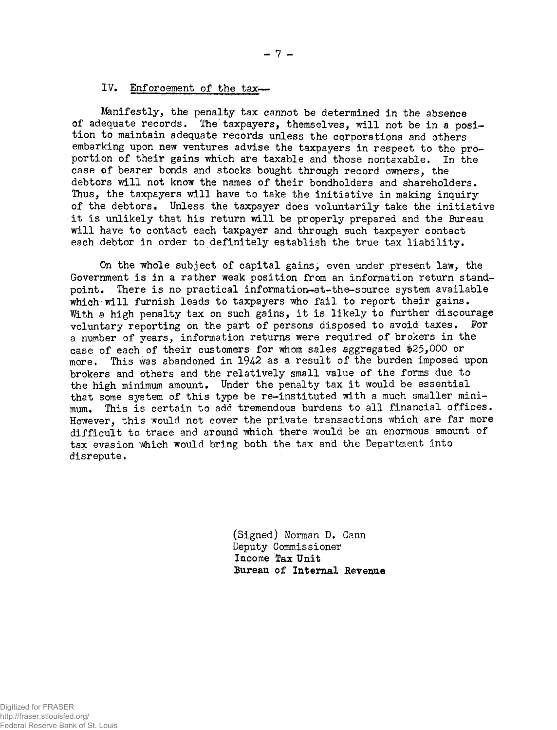# IV. Enforcement of the tax-

Manifestly, the penalty tax cannot be determined in the absence of adequate records. The taxpayers, themselves, will not be in a position to maintain adequate records unless the corporations and others embarking upon new ventures advise the taxpayers in respect to the proportion of their gains which are taxable and those nontaxable. In the case of bearer bonds and stocks bought through record owners, the debtors will not know the names of their bondholders and shareholders. Thus, the taxpayers will have to take the initiative in making inquiry of the debtors. Unless the taxpayer does voluntarily take the initiative it is unlikely that his return will be properly prepared and the Bureau will have to contact each taxpayer and through such taxpayer contact each debtor in order to definitely establish the true tax liability.

On the whole subject of capital gains, even under present law, the Government is in a rather weak position from an information return standpoint. There is no practical information-at-the-source system available which will furnish leads to taxpayers who fail to report their gains. With a high penalty tax on such gains, it is likely to further discourage voluntary reporting on the part of persons disposed to avoid taxes. For a number of years, information returns were required of brokers in the case of each of their customers for whom sales aggregated #25,000 or more. This was abandoned in 1942 as a result of the burden imposed upon brokers and others and the relatively small value of the forms due to the high minimum amount. Under the penalty tax it would be essential that some system of this type be re-instituted with a much smaller minimum. This is certain to add tremendous burdens to all financial offices. However, this would not cover the private transactions which are far more difficult to trace and around which there would be an enormous amount of tax evasion which would bring both the tax and the Department into disrepute.

> (Signed) Norman D. Cann Deputy Commissioner Income Tax Unit Bureau of Internal Revenue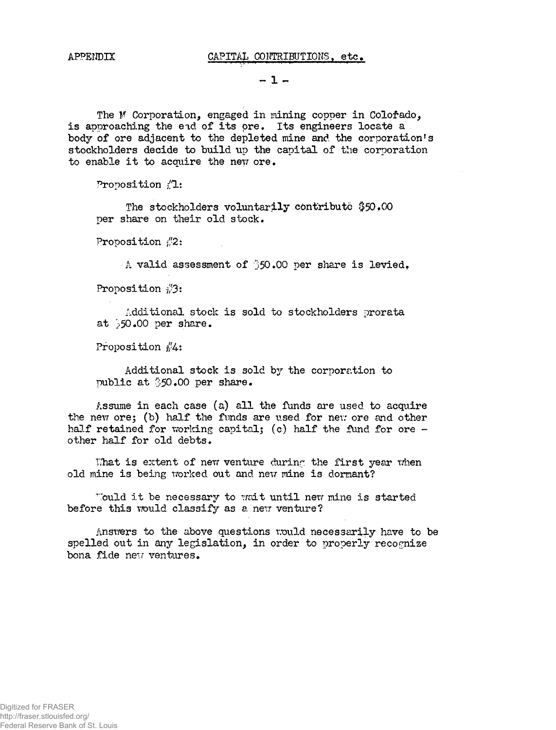APPENDIX CAPITAL CONTRIBUTIONS, etc.

 $-1 -$ 

The M Corporation, engaged in mining copper in Colorado, is approaching the end of its ore. Its engineers locate a body of ore adjacent to the depleted mine and the corporation's stockholders decide to build up the capital of the corporation to enable it to acquire the new ore.

Proposition  $/1$ :

The stockholders voluntarily contribute \$50.00 per share on their old stock.

Proposition  $\sqrt{2}$ :

A valid assessment of  $350.00$  per share is levied.

Proposition  $\sqrt[3]{3}$ :

Additional stock is sold to stockholders prorata at 50.00 per share.

Proposition  $\frac{1}{4}$ :

Additional stock is sold by the corporation to public at \$50.00 per share.

Assume in each case (a) all the funds are used to acquire the new ore; (b) half the funds are used for new ore and other half retained for working capital; (c) half the fund for ore  $$ other half for old debts.

What is extent of new venture during the first year when old mine is being worked out and new mine is dormant?

Tould it be necessary to wait until new mine is started before this would classify as a new venture?

Answers to the above questions would necessarily have to be spelled out in dny legislation, in order to properly recognize bona fide new ventures.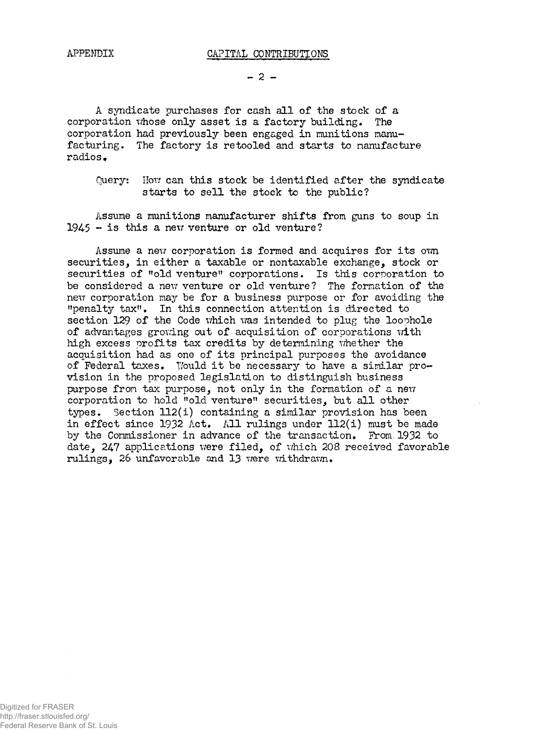$- 2 -$ 

A syndicate purchases for cash all of the stock of a corporation whose only asset is a factory building. The corporation had previously been engaged in munitions manufacturing. The factory is retooled and starts to manufacture radios,

Query: How can this stock be identified after the syndicate starts to sell the stock to the public?

Assume a munitions manufacturer shifts from guns to soup in  $1945 -$  is this a new venture or old venture?

Assume a new corporation is formed and acquires for its own securities, in either a taxable or nontaxable exchange, stock or securities of "old venture" corporations. Is this corporation to be considered a new venture or old venture? The formation of the new corporation may be for a business purpose or for avoiding the "penalty tax". In this connection attention is directed to section 129 of the Code which was intended to plug the loophole of advantages growing out of acquisition of corporations with high excess profits tax credits by determining whether the acquisition had as one of its principal purposes the avoidance of Federal taxes. Would it be necessary to have a similar provision in the proposed legislation to distinguish business purpose from tax purpose, not only in the formation of a new corporation to hold "old venture" securities, but all other types. Section 112(i) containing a similar provision has been in effect since 1932 Act. All rulings under 112(i) must be made by the Commissioner in advance of the transaction. From 1932 to date, 247 applications were filed, of which 208 received favorable rulings, 26 unfavorable and 13 were withdrawn.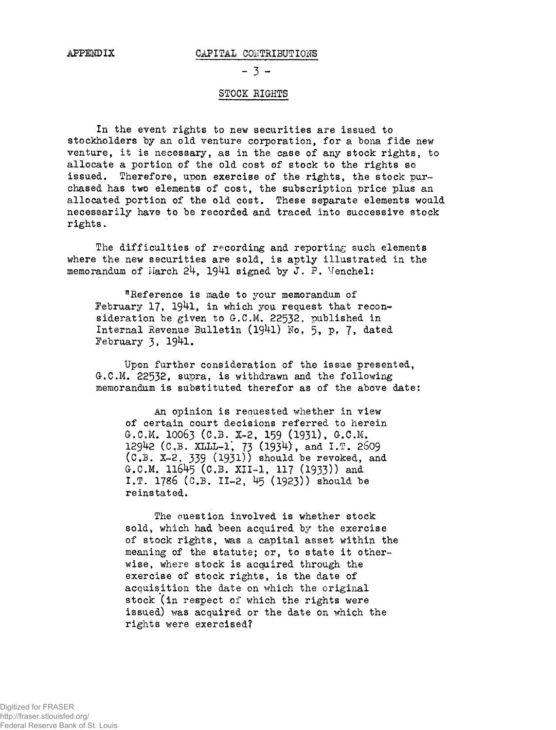#### APPENDIX CAPITAL CONTRIBUTIONS

 $- 3 -$ 

### STOCK RIGHTS

In the event rights to new securities are issued to stockholders by an old venture corporation, for a bona fide new venture, it is necessary, as in the case of any stock rights, to allocate a portion of the old cost of stock to the rights so issued. Therefore, upon exercise of the rights, the stock purchased has two elements of cost, the subscription price plus an allocated portion of the old cost. These separate elements would necessarily have to be recorded and traced into successive stock rights.

The difficulties of recording and reporting such elements where the new securities are sold, is aptly illustrated in the memorandum of March  $24$ , 1941 signed by J. P. Wenchel:

"Reference is made to your memorandum of February 17, 1941, in which you request that reconsideration be given to G.C.M. 22532, published in Internal Revenue Bulletin (1941) No, 5, p. 7, dated February 3, 1941.

Upon further consideration of the issue presented, G.C.M. 22532, supra, is withdrawn and the following memorandum is substituted therefor as of the above date:

An opinion is requested whether in view of certain court decisions referred to herein G.C.M. IOO63 (C.B. X-2, 159 (1931), G.C.M. 129^2 (C,B. xmWL'f 73 (1934), and I.T. 2609 (C.B. X-2, 339 (1931)) should be revoked, and G.C.M. 11645 (C.B. XJI-1, 117 (1933)) and I.T. 1786 (C.B. I1-2, 45 (1923)) should be reinstated.

The question involved is whether stock sold, which had been acquired by the exercise of stock rights, was a capital asset within the meaning of the statute; or, to state it otherwise, where stock is acquired through the exercise of stock rights, is the date of acquisition the date on which the original stock (in respect of which the rights were issued) was acquired or the date on which the rights were exercised?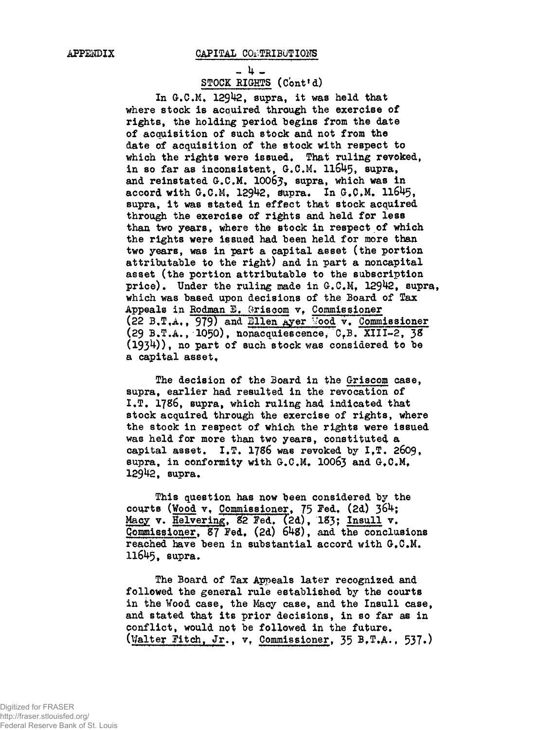#### APPENDIX CAPITAL CONTRIBUTIONS

- 4 -STOCK RIGHTS (Cont'd)

In  $G.C.M.$  129 $42$ , supra, it was held that where stock is acquired through the exercise of rights, the holding period begins from the date of acquisition of such stock and not from the date of acquisition of the stock with respect to which the rights were issued. That ruling revoked, in so far as inconsistent, G.C.M. II6U5, supra, and reinstated  $G.C.M. 10067$ , supra, which was in accord with G.C.M. 12942, supra. In  $G_{\star}C.M.$  11645, supra, it was stated in effect that stock acquired through the exercise of rights and held for less than two years, where the stock in respect of which the rights were issued had been held for more than two years, was in part a capital asset (the portion attributable to the right) and in part a noncapital asset (the portion attributable to the subscription price). Under the ruling made in  $G.C.M.$  12942, supra, which was based upon decisions of the Board of Tax Appeals in Rodman  $E$ . Griscom v, Commissioner (22 B.T.A., 979) and Ellen Ayer Wood v. Commissioner (29 B.T.A., 1050), nonacquiescence, C.B. XIII-2, 38  $(1934)$ , no part of such stock was considered to be a capital asset.

The decision of the Board in the Griscom case, supra, earlier had resulted in the revocation of I.T. 1786, supra, which ruling had indicated that stock acquired through the exercise of rights, where the stock in respect of which the rights were issued was held for more than two years, constituted a capital asset. I.T. 1786 was revoked by I.T. 2609, supra, in conformity with G.C.M. 10063 and G.C.M. 129^2, supra.

This question has now been considered by the courts (Wood  $v$ , Commissioner, 75 Fed, (2d) 364; Macy v. Helvering, 82 Fed. (2d), 183; Insull v. Commissioner, 87 Fed. (2d) 648), and the conclusions reached have been in substantial accord with G.C.M. 116^5» supra.

The Board of Tax Appeals later recognized and followed the general rule established by the courts in the Wood case, the Macy case, and the Insull case, and stated that its prior decisions, in so far as in conflict, would not be followed in the future. (Walter gitch, Jr., v, Commissioner, 35 B,T,A., 537.)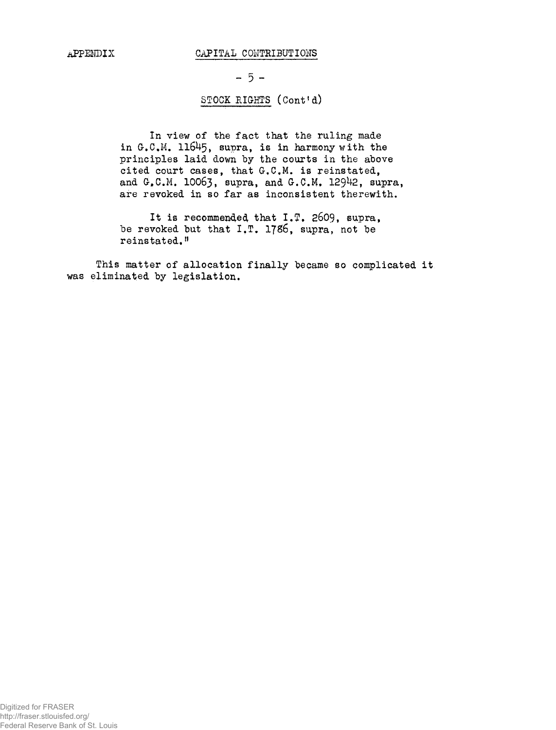#### APPENDIX CAPITAL CONTRIBUTIONS

 $-5 -$ 

# STOCK EIGHTS (Cont'd)

In view of the fact that the ruling made in  $G.C.M. 11645$ , supra, is in harmony with the principles laid down by the courts in the above cited court cases, that G.C.M. is reinstated, and  $G_{\bullet}C.M. 10063$ , supra, and  $G_{\bullet}C.M. 12942$ , supra, are revoked in so far as inconsistent therewith.

It is recommended that I.T. 2609, supra, be revoked but that  $I.T. 1786$ , supra, not be reinstated."

This matter of allocation finally became so complicated it was eliminated by legislation.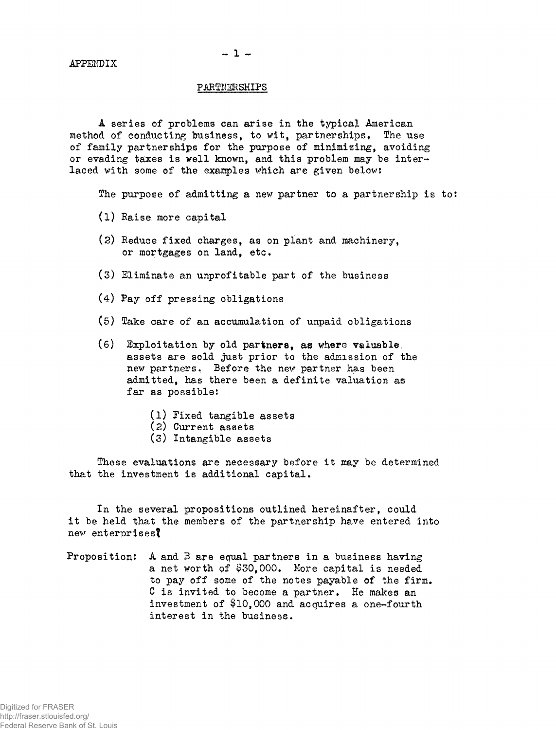APFEKDIX

# $-1 -$

### PARTNERSHIPS

A series of problems can arise in the typical American method of conducting business, to wit, partnerships, The use of family partnerships for the purpose of minimizing, avoiding or evading taxes is well known, and this problem may be interlaced with some of the examples which are given below;

The purpose of admitting a new partner to a partnership is to:

- (1) Raise more capital
- (2) Reduce fixed charges, as on plant and machinery, or mortgages on land, etc.
- (3) Eliminate an unprofitable part of the business
- (4) Pay off pressing obligations
- (5) Take care of an accumulation of unpaid obligations
- (6) Exploitation by old partners, as where valuable, assets are sold just prior to the admission of the new partners, Before the new partner has been admitted, has there been a definite valuation as far as possible:
	- (1) Fixed tangible assets
	- (2) Current assets
	- (3) Intangible assets

These evaluations are necessary before it may be determined that the investment is additional capital.

In the several propositions outlined hereinafter, could it be held that the members of the partnership have entered into new enterprises?

Proposition: A and B are equal partners in a business having a net worth of \$30,000. More capital is needed to pay off some of the notes payable òf the firm. C is invited to become a partner. He makes an investment of \$10,000 and acquires a one-fourth interest in the business.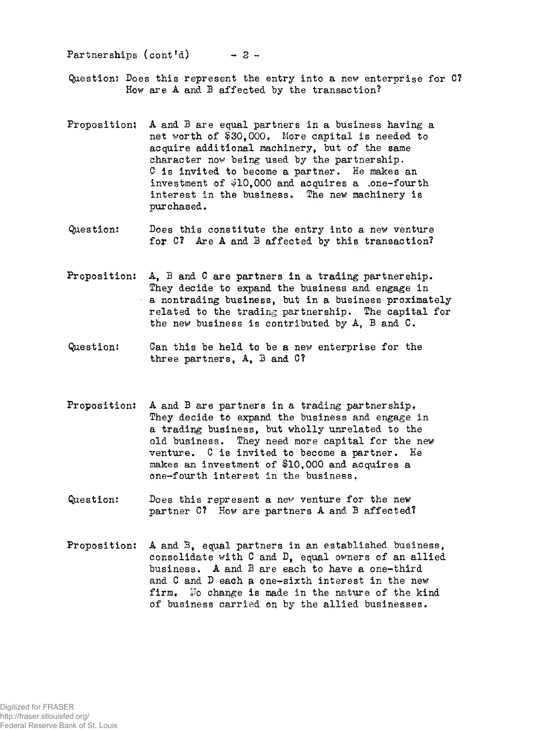Partnerships (cont'd) *- 2 -*

- Question; Does this represent the entry into a new enterprise for C? How are A and B affected by the transaction?
- Proposition; A and B are equal partners in a business having a net worth of \$30,000, More capital is needed to acquire additional machinery, but of the same character now being used by the partnership. C is invited to become a partner. He makes an investment of  $$10,000$  and acquires a .one-fourth interest in the business. The new machinery is purchased.
- Question: Does this constitute the entry into a new venture for C? Are A and B affected by this transaction?
- Proposition; A, B and C are partners in a trading partnership. They decide to expand the business and engage in a nontrading business, but in a business proximately related to the trading partnership. The capital for the new business is contributed by A, B and C.
- Question; Can this be held to be a new enterprise for the three partners, A, 3 and C?
- Proposition: A and B are partners in a trading partnership, They decide to expand the business and engage in a trading business, but wholly unrelated to the old business. They need more capital for the new venture. C is invited to become a partner. He makes an investment of \$10,000 and acquires a one-fourth interest in the business.
- Question: Does this represent a new venture for the new partner C? How are partners A and B affected?
- Proposition; A and B, equal partners in an established business, consolidate with C and D, equal owners of an allied business. A and B are each to have a one-third and  $C$  and  $D$  each a one-sixth interest in the new firm. Ho change is made in the nature of the kind of business carried on by the allied businesses.